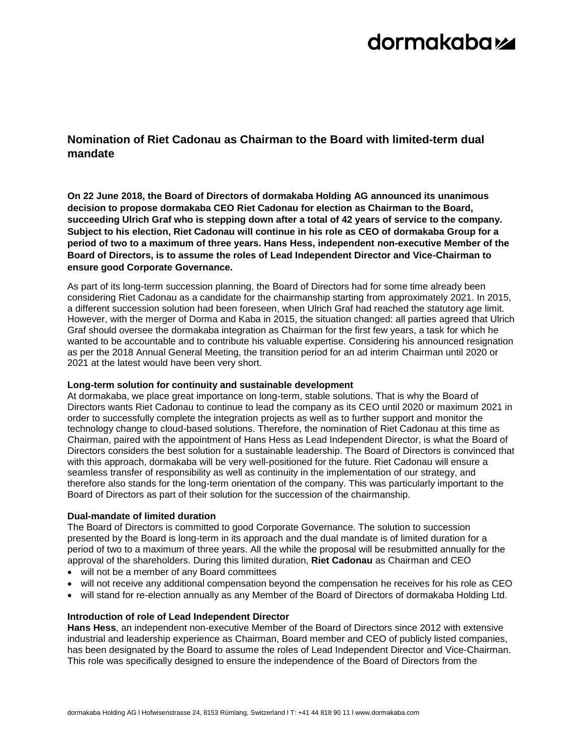# dormakabaz

### **Nomination of Riet Cadonau as Chairman to the Board with limited-term dual mandate**

**On 22 June 2018, the Board of Directors of dormakaba Holding AG announced its unanimous decision to propose dormakaba CEO Riet Cadonau for election as Chairman to the Board, succeeding Ulrich Graf who is stepping down after a total of 42 years of service to the company. Subject to his election, Riet Cadonau will continue in his role as CEO of dormakaba Group for a period of two to a maximum of three years. Hans Hess, independent non-executive Member of the Board of Directors, is to assume the roles of Lead Independent Director and Vice-Chairman to ensure good Corporate Governance.**

As part of its long-term succession planning, the Board of Directors had for some time already been considering Riet Cadonau as a candidate for the chairmanship starting from approximately 2021. In 2015, a different succession solution had been foreseen, when Ulrich Graf had reached the statutory age limit. However, with the merger of Dorma and Kaba in 2015, the situation changed: all parties agreed that Ulrich Graf should oversee the dormakaba integration as Chairman for the first few years, a task for which he wanted to be accountable and to contribute his valuable expertise. Considering his announced resignation as per the 2018 Annual General Meeting, the transition period for an ad interim Chairman until 2020 or 2021 at the latest would have been very short.

### **Long-term solution for continuity and sustainable development**

At dormakaba, we place great importance on long-term, stable solutions. That is why the Board of Directors wants Riet Cadonau to continue to lead the company as its CEO until 2020 or maximum 2021 in order to successfully complete the integration projects as well as to further support and monitor the technology change to cloud-based solutions. Therefore, the nomination of Riet Cadonau at this time as Chairman, paired with the appointment of Hans Hess as Lead Independent Director, is what the Board of Directors considers the best solution for a sustainable leadership. The Board of Directors is convinced that with this approach, dormakaba will be very well-positioned for the future. Riet Cadonau will ensure a seamless transfer of responsibility as well as continuity in the implementation of our strategy, and therefore also stands for the long-term orientation of the company. This was particularly important to the Board of Directors as part of their solution for the succession of the chairmanship.

### **Dual-mandate of limited duration**

The Board of Directors is committed to good Corporate Governance. The solution to succession presented by the Board is long-term in its approach and the dual mandate is of limited duration for a period of two to a maximum of three years. All the while the proposal will be resubmitted annually for the approval of the shareholders. During this limited duration, **Riet Cadonau** as Chairman and CEO

- will not be a member of any Board committees
- will not receive any additional compensation beyond the compensation he receives for his role as CEO
- will stand for re-election annually as any Member of the Board of Directors of dormakaba Holding Ltd.

### **Introduction of role of Lead Independent Director**

**Hans Hess**, an independent non-executive Member of the Board of Directors since 2012 with extensive industrial and leadership experience as Chairman, Board member and CEO of publicly listed companies, has been designated by the Board to assume the roles of Lead Independent Director and Vice-Chairman. This role was specifically designed to ensure the independence of the Board of Directors from the